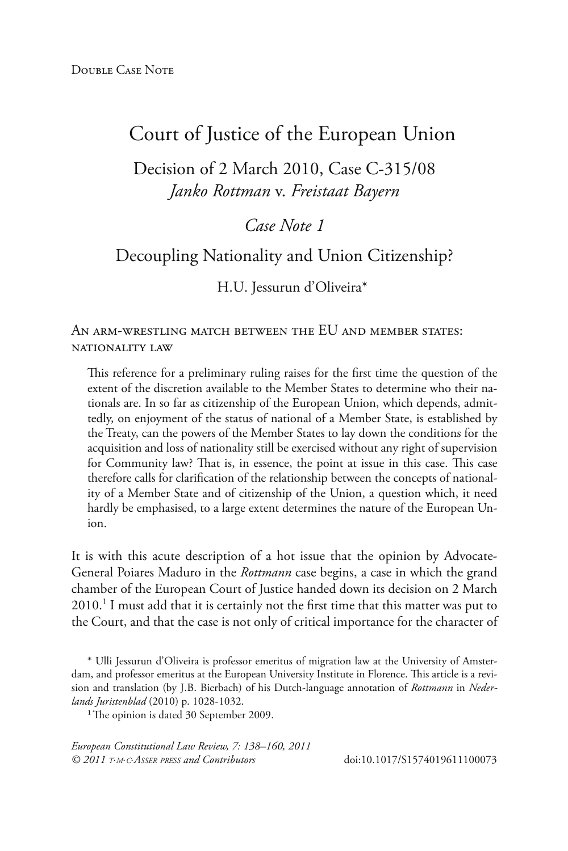# Court of Justice of the European Union

Decision of 2 March 2010, Case C-315/08 *Janko Rottman* v. *Freistaat Bayern*

# *Case Note 1*

# Decoupling Nationality and Union Citizenship?

H.U. Jessurun d'Oliveira\*

## AN ARM-WRESTLING MATCH BETWEEN THE EU AND MEMBER STATES: nationality law

This reference for a preliminary ruling raises for the first time the question of the extent of the discretion available to the Member States to determine who their nationals are. In so far as citizenship of the European Union, which depends, admittedly, on enjoyment of the status of national of a Member State, is established by the Treaty, can the powers of the Member States to lay down the conditions for the acquisition and loss of nationality still be exercised without any right of supervision for Community law? That is, in essence, the point at issue in this case. This case therefore calls for clarification of the relationship between the concepts of nationality of a Member State and of citizenship of the Union, a question which, it need hardly be emphasised, to a large extent determines the nature of the European Union.

It is with this acute description of a hot issue that the opinion by Advocate-General Poiares Maduro in the *Rottmann* case begins, a case in which the grand chamber of the European Court of Justice handed down its decision on 2 March  $2010<sup>1</sup>$  I must add that it is certainly not the first time that this matter was put to the Court, and that the case is not only of critical importance for the character of

\* Ulli Jessurun d'Oliveira is professor emeritus of migration law at the University of Amsterdam, and professor emeritus at the European University Institute in Florence. This article is a revision and translation (by J.B. Bierbach) of his Dutch-language annotation of *Rottmann* in *Nederlands Juristenblad* (2010) p. 1028-1032.

<sup>1</sup> The opinion is dated 30 September 2009.

*European Constitutional Law Review, 7: 138–160, 2011 © 2011 T.M.C.ASSER PRESS and Contributors* doi:10.1017/S1574019611100073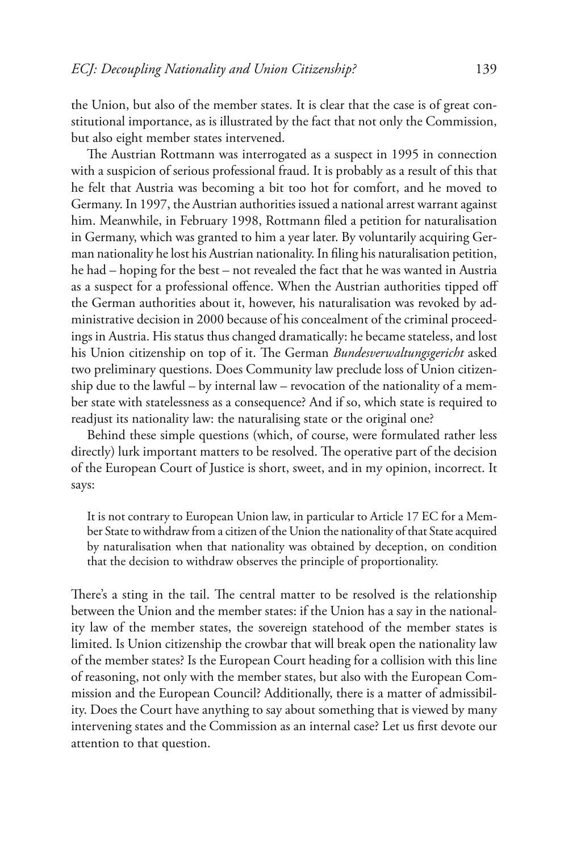the Union, but also of the member states. It is clear that the case is of great constitutional importance, as is illustrated by the fact that not only the Commission, but also eight member states intervened.

The Austrian Rottmann was interrogated as a suspect in 1995 in connection with a suspicion of serious professional fraud. It is probably as a result of this that he felt that Austria was becoming a bit too hot for comfort, and he moved to Germany. In 1997, the Austrian authorities issued a national arrest warrant against him. Meanwhile, in February 1998, Rottmann filed a petition for naturalisation in Germany, which was granted to him a year later. By voluntarily acquiring German nationality he lost his Austrian nationality. In filing his naturalisation petition, he had – hoping for the best – not revealed the fact that he was wanted in Austria as a suspect for a professional offence. When the Austrian authorities tipped off the German authorities about it, however, his naturalisation was revoked by administrative decision in 2000 because of his concealment of the criminal proceedings in Austria. His status thus changed dramatically: he became stateless, and lost his Union citizenship on top of it. The German *Bundesverwaltungsgericht* asked two preliminary questions. Does Community law preclude loss of Union citizenship due to the lawful – by internal law – revocation of the nationality of a member state with statelessness as a consequence? And if so, which state is required to readjust its nationality law: the naturalising state or the original one?

Behind these simple questions (which, of course, were formulated rather less directly) lurk important matters to be resolved. The operative part of the decision of the European Court of Justice is short, sweet, and in my opinion, incorrect. It says:

It is not contrary to European Union law, in particular to Article 17 EC for a Member State to withdraw from a citizen of the Union the nationality of that State acquired by naturalisation when that nationality was obtained by deception, on condition that the decision to withdraw observes the principle of proportionality.

There's a sting in the tail. The central matter to be resolved is the relationship between the Union and the member states: if the Union has a say in the nationality law of the member states, the sovereign statehood of the member states is limited. Is Union citizenship the crowbar that will break open the nationality law of the member states? Is the European Court heading for a collision with this line of reasoning, not only with the member states, but also with the European Commission and the European Council? Additionally, there is a matter of admissibility. Does the Court have anything to say about something that is viewed by many intervening states and the Commission as an internal case? Let us first devote our attention to that question.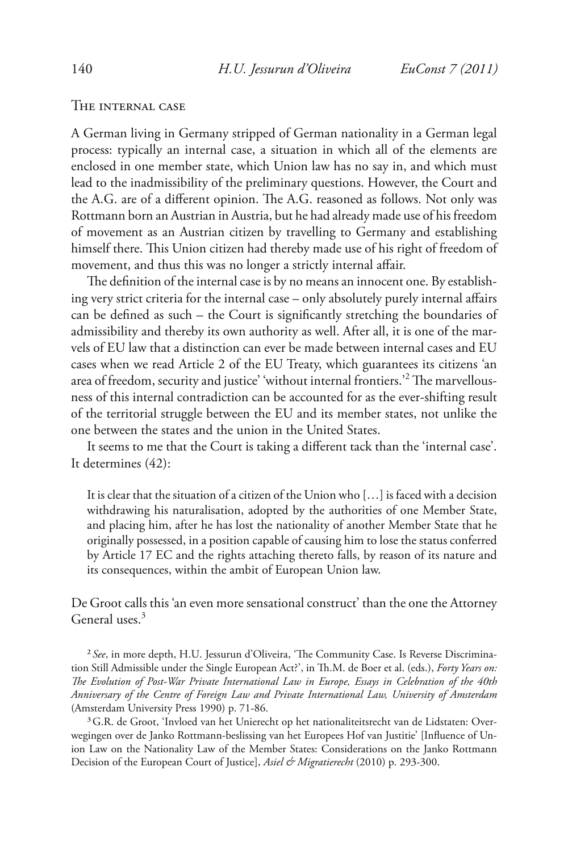### The internal case

A German living in Germany stripped of German nationality in a German legal process: typically an internal case, a situation in which all of the elements are enclosed in one member state, which Union law has no say in, and which must lead to the inadmissibility of the preliminary questions. However, the Court and the A.G. are of a different opinion. The A.G. reasoned as follows. Not only was Rottmann born an Austrian in Austria, but he had already made use of his freedom of movement as an Austrian citizen by travelling to Germany and establishing himself there. This Union citizen had thereby made use of his right of freedom of movement, and thus this was no longer a strictly internal affair.

The definition of the internal case is by no means an innocent one. By establishing very strict criteria for the internal case – only absolutely purely internal affairs can be defined as such  $-$  the Court is significantly stretching the boundaries of admissibility and thereby its own authority as well. After all, it is one of the marvels of EU law that a distinction can ever be made between internal cases and EU cases when we read Article 2 of the EU Treaty, which guarantees its citizens 'an area of freedom, security and justice' 'without internal frontiers.' $^{\rm 2}$  The marvellousness of this internal contradiction can be accounted for as the ever-shifting result of the territorial struggle between the EU and its member states, not unlike the one between the states and the union in the United States.

It seems to me that the Court is taking a different tack than the 'internal case'. It determines (42):

It is clear that the situation of a citizen of the Union who […] is faced with a decision withdrawing his naturalisation, adopted by the authorities of one Member State, and placing him, after he has lost the nationality of another Member State that he originally possessed, in a position capable of causing him to lose the status conferred by Article 17 EC and the rights attaching thereto falls, by reason of its nature and its consequences, within the ambit of European Union law.

De Groot calls this 'an even more sensational construct' than the one the Attorney General uses.<sup>3</sup>

<sup>2</sup> See, in more depth, H.U. Jessurun d'Oliveira, 'The Community Case. Is Reverse Discrimination Still Admissible under the Single European Act?', in Th .M. de Boer et al. (eds.), *Forty Years on:*  The Evolution of Post-War Private International Law in Europe, Essays in Celebration of the 40th *Anniversary of the Centre of Foreign Law and Private International Law, University of Amsterdam* (Amsterdam University Press 1990) p. 71-86.

<sup>3</sup> G.R. de Groot, 'Invloed van het Unierecht op het nationaliteitsrecht van de Lidstaten: Overwegingen over de Janko Rottmann-beslissing van het Europees Hof van Justitie' [Influence of Union Law on the Nationality Law of the Member States: Considerations on the Janko Rottmann Decision of the European Court of Justice], *Asiel & Migratierecht* (2010) p. 293-300.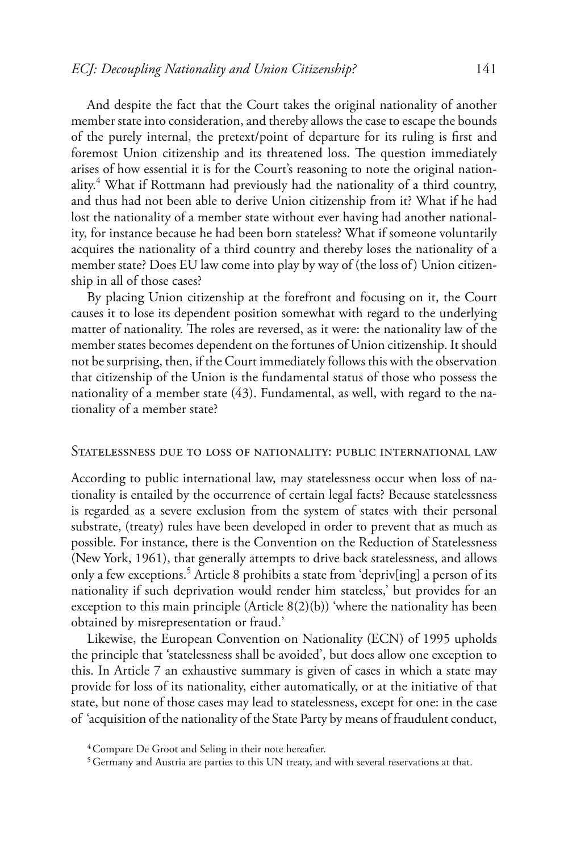And despite the fact that the Court takes the original nationality of another member state into consideration, and thereby allows the case to escape the bounds of the purely internal, the pretext/point of departure for its ruling is first and foremost Union citizenship and its threatened loss. The question immediately arises of how essential it is for the Court's reasoning to note the original nationality.<sup>4</sup> What if Rottmann had previously had the nationality of a third country, and thus had not been able to derive Union citizenship from it? What if he had lost the nationality of a member state without ever having had another nationality, for instance because he had been born stateless? What if someone voluntarily acquires the nationality of a third country and thereby loses the nationality of a member state? Does EU law come into play by way of (the loss of) Union citizenship in all of those cases?

By placing Union citizenship at the forefront and focusing on it, the Court causes it to lose its dependent position somewhat with regard to the underlying matter of nationality. The roles are reversed, as it were: the nationality law of the member states becomes dependent on the fortunes of Union citizenship. It should not be surprising, then, if the Court immediately follows this with the observation that citizenship of the Union is the fundamental status of those who possess the nationality of a member state (43). Fundamental, as well, with regard to the nationality of a member state?

#### Statelessness due to loss of nationality: public international law

According to public international law, may statelessness occur when loss of nationality is entailed by the occurrence of certain legal facts? Because statelessness is regarded as a severe exclusion from the system of states with their personal substrate, (treaty) rules have been developed in order to prevent that as much as possible. For instance, there is the Convention on the Reduction of Statelessness (New York, 1961), that generally attempts to drive back statelessness, and allows only a few exceptions.<sup>5</sup> Article 8 prohibits a state from 'depriv[ing] a person of its nationality if such deprivation would render him stateless,' but provides for an exception to this main principle (Article 8(2)(b)) 'where the nationality has been obtained by misrepresentation or fraud.'

Likewise, the European Convention on Nationality (ECN) of 1995 upholds the principle that 'statelessness shall be avoided', but does allow one exception to this. In Article 7 an exhaustive summary is given of cases in which a state may provide for loss of its nationality, either automatically, or at the initiative of that state, but none of those cases may lead to statelessness, except for one: in the case of 'acquisition of the nationality of the State Party by means of fraudulent conduct,

<sup>&</sup>lt;sup>4</sup> Compare De Groot and Seling in their note hereafter.

<sup>5</sup> Germany and Austria are parties to this UN treaty, and with several reservations at that.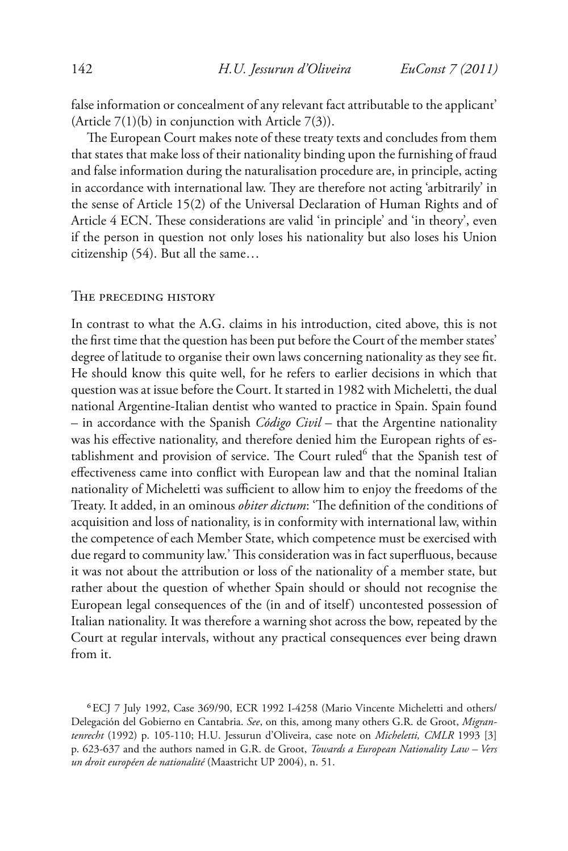false information or concealment of any relevant fact attributable to the applicant' (Article  $7(1)(b)$  in conjunction with Article  $7(3)$ ).

The European Court makes note of these treaty texts and concludes from them that states that make loss of their nationality binding upon the furnishing of fraud and false information during the naturalisation procedure are, in principle, acting in accordance with international law. They are therefore not acting 'arbitrarily' in the sense of Article 15(2) of the Universal Declaration of Human Rights and of Article 4 ECN. These considerations are valid 'in principle' and 'in theory', even if the person in question not only loses his nationality but also loses his Union citizenship (54). But all the same…

#### The preceding history

In contrast to what the A.G. claims in his introduction, cited above, this is not the first time that the question has been put before the Court of the member states' degree of latitude to organise their own laws concerning nationality as they see fit. He should know this quite well, for he refers to earlier decisions in which that question was at issue before the Court. It started in 1982 with Micheletti, the dual national Argentine-Italian dentist who wanted to practice in Spain. Spain found – in accordance with the Spanish *Código Civil* – that the Argentine nationality was his effective nationality, and therefore denied him the European rights of establishment and provision of service. The Court ruled $^6$  that the Spanish test of effectiveness came into conflict with European law and that the nominal Italian nationality of Micheletti was sufficient to allow him to enjoy the freedoms of the Treaty. It added, in an ominous *obiter dictum*: 'The definition of the conditions of acquisition and loss of nationality, is in conformity with international law, within the competence of each Member State, which competence must be exercised with due regard to community law.' This consideration was in fact superfluous, because it was not about the attribution or loss of the nationality of a member state, but rather about the question of whether Spain should or should not recognise the European legal consequences of the (in and of itself) uncontested possession of Italian nationality. It was therefore a warning shot across the bow, repeated by the Court at regular intervals, without any practical consequences ever being drawn from it.

<sup>6</sup> ECJ 7 July 1992, Case 369/90, ECR 1992 I-4258 (Mario Vincente Micheletti and others/ Delegación del Gobierno en Cantabria. *See*, on this, among many others G.R. de Groot, *Migrantenrecht* (1992) p. 105-110; H.U. Jessurun d'Oliveira, case note on *Micheletti, CMLR* 1993 [3] p. 623-637 and the authors named in G.R. de Groot, *Towards a European Nationality Law – Vers un droit européen de nationalité* (Maastricht UP 2004), n. 51.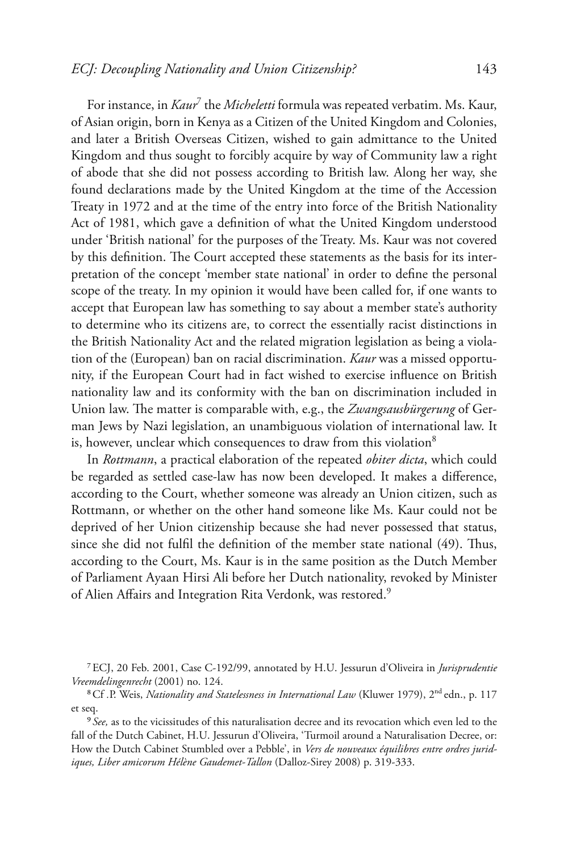For instance, in *Kaur<sup>7</sup> the Micheletti* formula was repeated verbatim. Ms. Kaur, of Asian origin, born in Kenya as a Citizen of the United Kingdom and Colonies, and later a British Overseas Citizen, wished to gain admittance to the United Kingdom and thus sought to forcibly acquire by way of Community law a right of abode that she did not possess according to British law. Along her way, she found declarations made by the United Kingdom at the time of the Accession Treaty in 1972 and at the time of the entry into force of the British Nationality Act of 1981, which gave a definition of what the United Kingdom understood under 'British national' for the purposes of the Treaty. Ms. Kaur was not covered by this definition. The Court accepted these statements as the basis for its interpretation of the concept 'member state national' in order to define the personal scope of the treaty. In my opinion it would have been called for, if one wants to accept that European law has something to say about a member state's authority to determine who its citizens are, to correct the essentially racist distinctions in the British Nationality Act and the related migration legislation as being a violation of the (European) ban on racial discrimination. *Kaur* was a missed opportunity, if the European Court had in fact wished to exercise influence on British nationality law and its conformity with the ban on discrimination included in Union law. The matter is comparable with, e.g., the *Zwangsausbürgerung* of German Jews by Nazi legislation, an unambiguous violation of international law. It is, however, unclear which consequences to draw from this violation<sup>8</sup>

In *Rottmann*, a practical elaboration of the repeated *obiter dicta*, which could be regarded as settled case-law has now been developed. It makes a difference, according to the Court, whether someone was already an Union citizen, such as Rottmann, or whether on the other hand someone like Ms. Kaur could not be deprived of her Union citizenship because she had never possessed that status, since she did not fulfil the definition of the member state national (49). Thus, according to the Court, Ms. Kaur is in the same position as the Dutch Member of Parliament Ayaan Hirsi Ali before her Dutch nationality, revoked by Minister of Alien Affairs and Integration Rita Verdonk, was restored.<sup>9</sup>

<sup>7</sup> ECJ, 20 Feb. 2001, Case C-192/99, annotated by H.U. Jessurun d'Oliveira in *Jurisprudentie Vreemdelingenrecht* (2001) no. 124.

<sup>&</sup>lt;sup>8</sup> Cf .P. Weis, *Nationality and Statelessness in International Law* (Kluwer 1979), 2<sup>nd</sup> edn., p. 117 et seq.

<sup>9</sup> *See,* as to the vicissitudes of this naturalisation decree and its revocation which even led to the fall of the Dutch Cabinet, H.U. Jessurun d'Oliveira, 'Turmoil around a Naturalisation Decree, or: How the Dutch Cabinet Stumbled over a Pebble', in *Vers de nouveaux équilibres entre ordres juridiques, Liber amicorum Hélène Gaudemet-Tallon* (Dalloz-Sirey 2008) p. 319-333.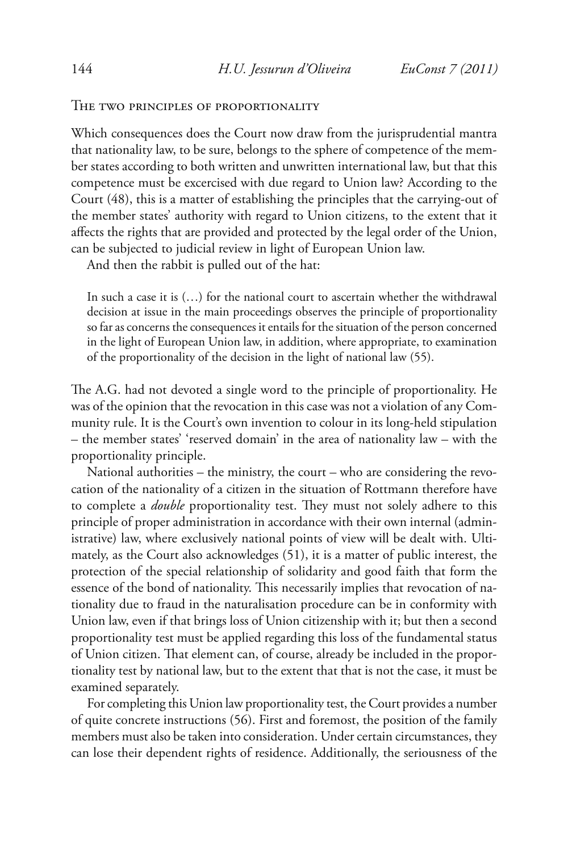#### The two principles of proportionality

Which consequences does the Court now draw from the jurisprudential mantra that nationality law, to be sure, belongs to the sphere of competence of the member states according to both written and unwritten international law, but that this competence must be excercised with due regard to Union law? According to the Court (48), this is a matter of establishing the principles that the carrying-out of the member states' authority with regard to Union citizens, to the extent that it affects the rights that are provided and protected by the legal order of the Union, can be subjected to judicial review in light of European Union law.

And then the rabbit is pulled out of the hat:

In such a case it is (…) for the national court to ascertain whether the withdrawal decision at issue in the main proceedings observes the principle of proportionality so far as concerns the consequences it entails for the situation of the person concerned in the light of European Union law, in addition, where appropriate, to examination of the proportionality of the decision in the light of national law (55).

The A.G. had not devoted a single word to the principle of proportionality. He was of the opinion that the revocation in this case was not a violation of any Community rule. It is the Court's own invention to colour in its long-held stipulation – the member states' 'reserved domain' in the area of nationality law – with the proportionality principle.

National authorities – the ministry, the court – who are considering the revocation of the nationality of a citizen in the situation of Rottmann therefore have to complete a *double* proportionality test. They must not solely adhere to this principle of proper administration in accordance with their own internal (administrative) law, where exclusively national points of view will be dealt with. Ultimately, as the Court also acknowledges (51), it is a matter of public interest, the protection of the special relationship of solidarity and good faith that form the essence of the bond of nationality. This necessarily implies that revocation of nationality due to fraud in the naturalisation procedure can be in conformity with Union law, even if that brings loss of Union citizenship with it; but then a second proportionality test must be applied regarding this loss of the fundamental status of Union citizen. That element can, of course, already be included in the proportionality test by national law, but to the extent that that is not the case, it must be examined separately.

For completing this Union law proportionality test, the Court provides a number of quite concrete instructions (56). First and foremost, the position of the family members must also be taken into consideration. Under certain circumstances, they can lose their dependent rights of residence. Additionally, the seriousness of the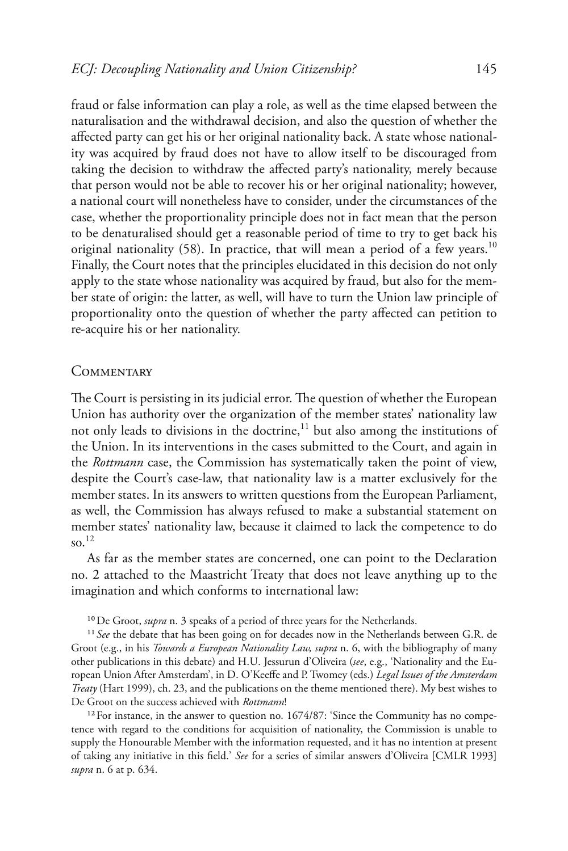fraud or false information can play a role, as well as the time elapsed between the naturalisation and the withdrawal decision, and also the question of whether the affected party can get his or her original nationality back. A state whose nationality was acquired by fraud does not have to allow itself to be discouraged from taking the decision to withdraw the affected party's nationality, merely because that person would not be able to recover his or her original nationality; however, a national court will nonetheless have to consider, under the circumstances of the case, whether the proportionality principle does not in fact mean that the person to be denaturalised should get a reasonable period of time to try to get back his original nationality (58). In practice, that will mean a period of a few years.<sup>10</sup> Finally, the Court notes that the principles elucidated in this decision do not only apply to the state whose nationality was acquired by fraud, but also for the member state of origin: the latter, as well, will have to turn the Union law principle of proportionality onto the question of whether the party affected can petition to re-acquire his or her nationality.

#### **COMMENTARY**

The Court is persisting in its judicial error. The question of whether the European Union has authority over the organization of the member states' nationality law not only leads to divisions in the doctrine,<sup>11</sup> but also among the institutions of the Union. In its interventions in the cases submitted to the Court, and again in the *Rottmann* case, the Commission has systematically taken the point of view, despite the Court's case-law, that nationality law is a matter exclusively for the member states. In its answers to written questions from the European Parliament, as well, the Commission has always refused to make a substantial statement on member states' nationality law, because it claimed to lack the competence to do  $\frac{12}{1}$ 

As far as the member states are concerned, one can point to the Declaration no. 2 attached to the Maastricht Treaty that does not leave anything up to the imagination and which conforms to international law:

<sup>10</sup> De Groot, *supra* n. 3 speaks of a period of three years for the Netherlands.

<sup>11</sup> See the debate that has been going on for decades now in the Netherlands between G.R. de Groot (e.g., in his *Towards a European Nationality Law, supra* n. 6, with the bibliography of many other publications in this debate) and H.U. Jessurun d'Oliveira (*see*, e.g., 'Nationality and the European Union After Amsterdam', in D. O'Keeffe and P. Twomey (eds.) *Legal Issues of the Amsterdam Treaty* (Hart 1999), ch. 23, and the publications on the theme mentioned there). My best wishes to De Groot on the success achieved with *Rottmann*!

 $12$  For instance, in the answer to question no.  $1674/87$ : 'Since the Community has no competence with regard to the conditions for acquisition of nationality, the Commission is unable to supply the Honourable Member with the information requested, and it has no intention at present of taking any initiative in this field.' See for a series of similar answers d'Oliveira [CMLR 1993] *supra* n. 6 at p. 634.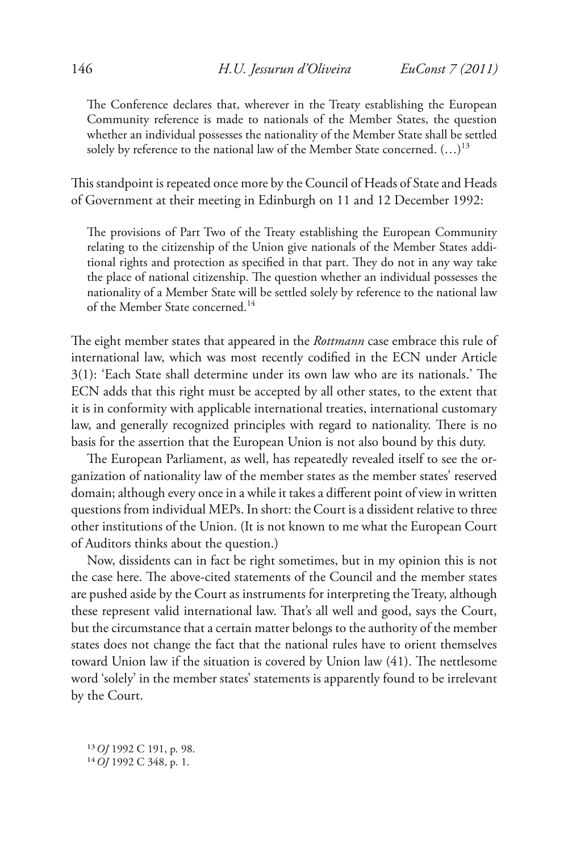The Conference declares that, wherever in the Treaty establishing the European Community reference is made to nationals of the Member States, the question whether an individual possesses the nationality of the Member State shall be settled solely by reference to the national law of the Member State concerned.  $(...)^{13}$ 

This standpoint is repeated once more by the Council of Heads of State and Heads of Government at their meeting in Edinburgh on 11 and 12 December 1992:

The provisions of Part Two of the Treaty establishing the European Community relating to the citizenship of the Union give nationals of the Member States additional rights and protection as specified in that part. They do not in any way take the place of national citizenship. The question whether an individual possesses the nationality of a Member State will be settled solely by reference to the national law of the Member State concerned.<sup>14</sup>

The eight member states that appeared in the *Rottmann* case embrace this rule of international law, which was most recently codified in the ECN under Article  $3(1)$ : 'Each State shall determine under its own law who are its nationals.' The ECN adds that this right must be accepted by all other states, to the extent that it is in conformity with applicable international treaties, international customary law, and generally recognized principles with regard to nationality. There is no basis for the assertion that the European Union is not also bound by this duty.

The European Parliament, as well, has repeatedly revealed itself to see the organization of nationality law of the member states as the member states' reserved domain; although every once in a while it takes a different point of view in written questions from individual MEPs. In short: the Court is a dissident relative to three other institutions of the Union. (It is not known to me what the European Court of Auditors thinks about the question.)

Now, dissidents can in fact be right sometimes, but in my opinion this is not the case here. The above-cited statements of the Council and the member states are pushed aside by the Court as instruments for interpreting the Treaty, although these represent valid international law. That's all well and good, says the Court, but the circumstance that a certain matter belongs to the authority of the member states does not change the fact that the national rules have to orient themselves toward Union law if the situation is covered by Union law (41). The nettlesome word 'solely' in the member states' statements is apparently found to be irrelevant by the Court.

¹³ *OJ* 1992 C 191, p. 98.

¹4 *OJ* 1992 C 348, p. 1.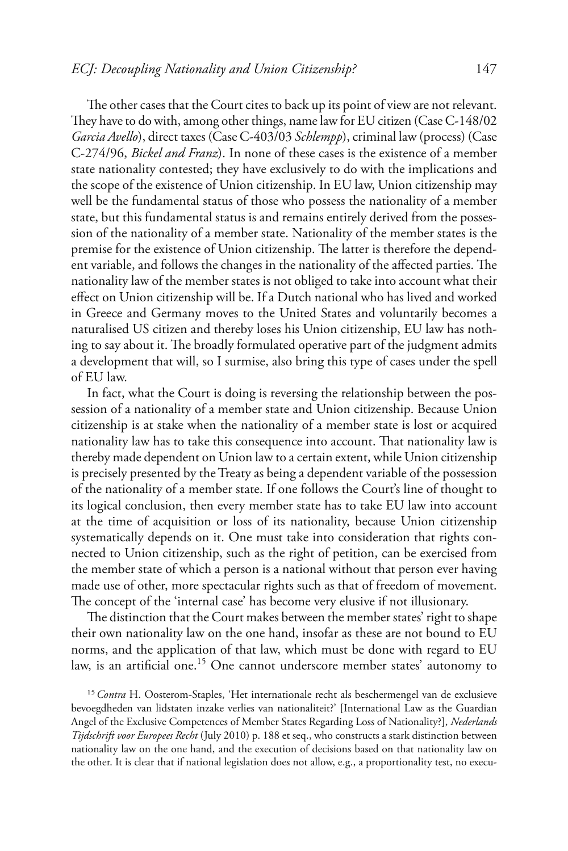The other cases that the Court cites to back up its point of view are not relevant. They have to do with, among other things, name law for EU citizen (Case C-148/02 *Garcia Avello*), direct taxes (Case C-403/03 *Schlempp*), criminal law (process) (Case C-274/96, *Bickel and Franz*). In none of these cases is the existence of a member state nationality contested; they have exclusively to do with the implications and the scope of the existence of Union citizenship. In EU law, Union citizenship may well be the fundamental status of those who possess the nationality of a member state, but this fundamental status is and remains entirely derived from the possession of the nationality of a member state. Nationality of the member states is the premise for the existence of Union citizenship. The latter is therefore the dependent variable, and follows the changes in the nationality of the affected parties. The nationality law of the member states is not obliged to take into account what their effect on Union citizenship will be. If a Dutch national who has lived and worked in Greece and Germany moves to the United States and voluntarily becomes a naturalised US citizen and thereby loses his Union citizenship, EU law has nothing to say about it. The broadly formulated operative part of the judgment admits a development that will, so I surmise, also bring this type of cases under the spell of EU law.

In fact, what the Court is doing is reversing the relationship between the possession of a nationality of a member state and Union citizenship. Because Union citizenship is at stake when the nationality of a member state is lost or acquired nationality law has to take this consequence into account. That nationality law is thereby made dependent on Union law to a certain extent, while Union citizenship is precisely presented by the Treaty as being a dependent variable of the possession of the nationality of a member state. If one follows the Court's line of thought to its logical conclusion, then every member state has to take EU law into account at the time of acquisition or loss of its nationality, because Union citizenship systematically depends on it. One must take into consideration that rights connected to Union citizenship, such as the right of petition, can be exercised from the member state of which a person is a national without that person ever having made use of other, more spectacular rights such as that of freedom of movement. The concept of the 'internal case' has become very elusive if not illusionary.

The distinction that the Court makes between the member states' right to shape their own nationality law on the one hand, insofar as these are not bound to EU norms, and the application of that law, which must be done with regard to EU law, is an artificial one.<sup>15</sup> One cannot underscore member states' autonomy to

<sup>15</sup> Contra H. Oosterom-Staples, 'Het internationale recht als beschermengel van de exclusieve bevoegdheden van lidstaten inzake verlies van nationaliteit?' [International Law as the Guardian Angel of the Exclusive Competences of Member States Regarding Loss of Nationality?], *Nederlands Tijdschrift voor Europees Recht* (July 2010) p. 188 et seq., who constructs a stark distinction between nationality law on the one hand, and the execution of decisions based on that nationality law on the other. It is clear that if national legislation does not allow, e.g., a proportionality test, no execu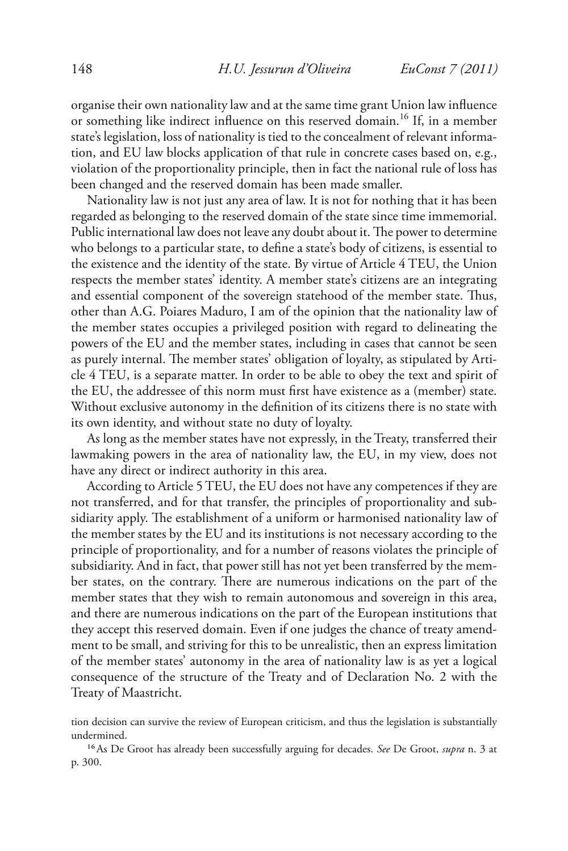organise their own nationality law and at the same time grant Union law influence or something like indirect influence on this reserved domain.<sup>16</sup> If, in a member state's legislation, loss of nationality is tied to the concealment of relevant information, and EU law blocks application of that rule in concrete cases based on, e.g., violation of the proportionality principle, then in fact the national rule of loss has been changed and the reserved domain has been made smaller.

Nationality law is not just any area of law. It is not for nothing that it has been regarded as belonging to the reserved domain of the state since time immemorial. Public international law does not leave any doubt about it. The power to determine who belongs to a particular state, to define a state's body of citizens, is essential to the existence and the identity of the state. By virtue of Article 4 TEU, the Union respects the member states' identity. A member state's citizens are an integrating and essential component of the sovereign statehood of the member state. Thus, other than A.G. Poiares Maduro, I am of the opinion that the nationality law of the member states occupies a privileged position with regard to delineating the powers of the EU and the member states, including in cases that cannot be seen as purely internal. The member states' obligation of loyalty, as stipulated by Article 4 TEU, is a separate matter. In order to be able to obey the text and spirit of the EU, the addressee of this norm must first have existence as a (member) state. Without exclusive autonomy in the definition of its citizens there is no state with its own identity, and without state no duty of loyalty.

As long as the member states have not expressly, in the Treaty, transferred their lawmaking powers in the area of nationality law, the EU, in my view, does not have any direct or indirect authority in this area.

According to Article 5 TEU, the EU does not have any competences if they are not transferred, and for that transfer, the principles of proportionality and subsidiarity apply. The establishment of a uniform or harmonised nationality law of the member states by the EU and its institutions is not necessary according to the principle of proportionality, and for a number of reasons violates the principle of subsidiarity. And in fact, that power still has not yet been transferred by the member states, on the contrary. There are numerous indications on the part of the member states that they wish to remain autonomous and sovereign in this area, and there are numerous indications on the part of the European institutions that they accept this reserved domain. Even if one judges the chance of treaty amendment to be small, and striving for this to be unrealistic, then an express limitation of the member states' autonomy in the area of nationality law is as yet a logical consequence of the structure of the Treaty and of Declaration No. 2 with the Treaty of Maastricht.

tion decision can survive the review of European criticism, and thus the legislation is substantially undermined.

<sup>16</sup> As De Groot has already been successfully arguing for decades. *See* De Groot, *supra* n. 3 at p. 300.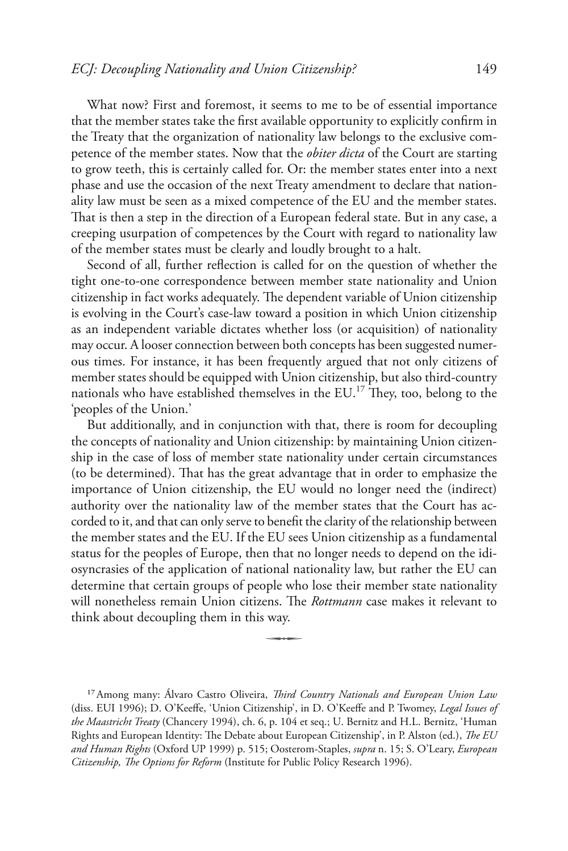What now? First and foremost, it seems to me to be of essential importance that the member states take the first available opportunity to explicitly confirm in the Treaty that the organization of nationality law belongs to the exclusive competence of the member states. Now that the *obiter dicta* of the Court are starting to grow teeth, this is certainly called for. Or: the member states enter into a next phase and use the occasion of the next Treaty amendment to declare that nationality law must be seen as a mixed competence of the EU and the member states. That is then a step in the direction of a European federal state. But in any case, a creeping usurpation of competences by the Court with regard to nationality law of the member states must be clearly and loudly brought to a halt.

Second of all, further reflection is called for on the question of whether the tight one-to-one correspondence between member state nationality and Union citizenship in fact works adequately. The dependent variable of Union citizenship is evolving in the Court's case-law toward a position in which Union citizenship as an independent variable dictates whether loss (or acquisition) of nationality may occur. A looser connection between both concepts has been suggested numerous times. For instance, it has been frequently argued that not only citizens of member states should be equipped with Union citizenship, but also third-country nationals who have established themselves in the EU.<sup>17</sup> They, too, belong to the 'peoples of the Union.'

But additionally, and in conjunction with that, there is room for decoupling the concepts of nationality and Union citizenship: by maintaining Union citizenship in the case of loss of member state nationality under certain circumstances (to be determined). That has the great advantage that in order to emphasize the importance of Union citizenship, the EU would no longer need the (indirect) authority over the nationality law of the member states that the Court has accorded to it, and that can only serve to benefit the clarity of the relationship between the member states and the EU. If the EU sees Union citizenship as a fundamental status for the peoples of Europe, then that no longer needs to depend on the idiosyncrasies of the application of national nationality law, but rather the EU can determine that certain groups of people who lose their member state nationality will nonetheless remain Union citizens. The *Rottmann* case makes it relevant to think about decoupling them in this way.

<sup>&</sup>lt;sup>17</sup> Among many: Álvaro Castro Oliveira, *Third Country Nationals and European Union Law* (diss. EUI 1996); D. O'Keeffe, 'Union Citizenship', in D. O'Keeffe and P. Twomey, *Legal Issues of the Maastricht Treaty* (Chancery 1994), ch. 6, p. 104 et seq.; U. Bernitz and H.L. Bernitz, 'Human Rights and European Identity: The Debate about European Citizenship', in P. Alston (ed.), *The EU and Human Rights* (Oxford UP 1999) p. 515; Oosterom-Staples, *supra* n. 15; S. O'Leary, *European Citizenship, The Options for Reform* (Institute for Public Policy Research 1996).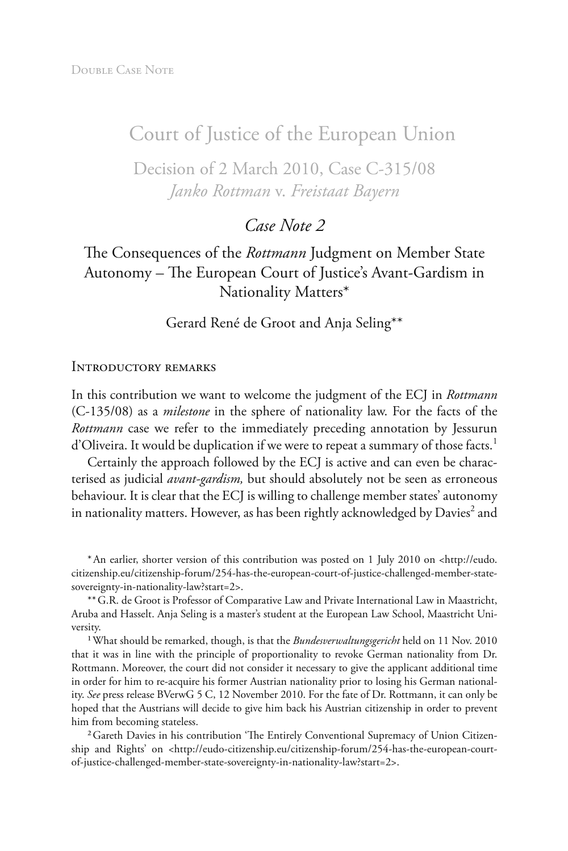# Court of Justice of the European Union

Decision of 2 March 2010, Case C-315/08 *Janko Rottman* v. *Freistaat Bayern*

*Case Note 2*

# The Consequences of the *Rottmann* Judgment on Member State Autonomy – The European Court of Justice's Avant-Gardism in Nationality Matters\*

Gerard René de Groot and Anja Seling\*\*

#### Introductory remarks

In this contribution we want to welcome the judgment of the ECJ in *Rottmann* (C-135/08) as a *milestone* in the sphere of nationality law. For the facts of the *Rottmann* case we refer to the immediately preceding annotation by Jessurun d'Oliveira. It would be duplication if we were to repeat a summary of those facts.<sup>1</sup>

Certainly the approach followed by the ECJ is active and can even be characterised as judicial *avant-gardism,* but should absolutely not be seen as erroneous behaviour. It is clear that the ECJ is willing to challenge member states' autonomy in nationality matters. However, as has been rightly acknowledged by Davies<sup>2</sup> and

\* An earlier, shorter version of this contribution was posted on 1 July 2010 on <http://eudo. citizenship.eu/citizenship-forum/254-has-the-european-court-of-justice-challenged-member-statesovereignty-in-nationality-law?start=2>.

\*\* G.R. de Groot is Professor of Comparative Law and Private International Law in Maastricht, Aruba and Hasselt. Anja Seling is a master's student at the European Law School, Maastricht University.

<sup>1</sup> What should be remarked, though, is that the *Bundesverwaltungsgericht* held on 11 Nov. 2010 that it was in line with the principle of proportionality to revoke German nationality from Dr. Rottmann. Moreover, the court did not consider it necessary to give the applicant additional time in order for him to re-acquire his former Austrian nationality prior to losing his German nationality. *See* press release BVerwG 5 C, 12 November 2010. For the fate of Dr. Rottmann, it can only be hoped that the Austrians will decide to give him back his Austrian citizenship in order to prevent him from becoming stateless.

<sup>2</sup> Gareth Davies in his contribution 'The Entirely Conventional Supremacy of Union Citizenship and Rights' on <http://eudo-citizenship.eu/citizenship-forum/254-has-the-european-courtof-justice-challenged-member-state-sovereignty-in-nationality-law?start=2>.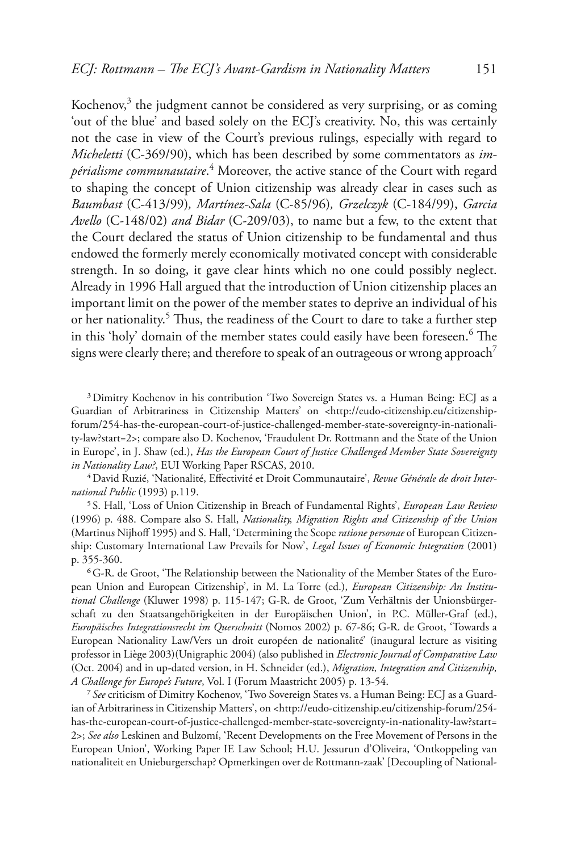Kochenov, $3$  the judgment cannot be considered as very surprising, or as coming 'out of the blue' and based solely on the ECJ's creativity. No, this was certainly not the case in view of the Court's previous rulings, especially with regard to *Micheletti* (C-369/90), which has been described by some commentators as *im*p*érialisme communautaire*.<sup>4</sup> Moreover, the active stance of the Court with regard to shaping the concept of Union citizenship was already clear in cases such as *Baumbast* (C-413/99)*, Martínez-Sala* (C-85/96)*, Grzelczyk* (C-184/99), *Garcia Avello* (C-148/02) *and Bidar* (C-209/03), to name but a few, to the extent that the Court declared the status of Union citizenship to be fundamental and thus endowed the formerly merely economically motivated concept with considerable strength. In so doing, it gave clear hints which no one could possibly neglect. Already in 1996 Hall argued that the introduction of Union citizenship places an important limit on the power of the member states to deprive an individual of his or her nationality.<sup>5</sup> Thus, the readiness of the Court to dare to take a further step in this 'holy' domain of the member states could easily have been foreseen. $^6$  The signs were clearly there; and therefore to speak of an outrageous or wrong approach<sup>7</sup>

³ Dimitry Kochenov in his contribution 'Two Sovereign States vs. a Human Being: ECJ as a Guardian of Arbitrariness in Citizenship Matters' on <http://eudo-citizenship.eu/citizenshipforum/254-has-the-european-court-of-justice-challenged-member-state-sovereignty-in-nationality-law?start=2>; compare also D. Kochenov, 'Fraudulent Dr. Rottmann and the State of the Union in Europe', in J. Shaw (ed.), *Has the European Court of Justice Challenged Member State Sovereignty in Nationality Law?*, EUI Working Paper RSCAS, 2010.

<sup>4</sup> David Ruzié, 'Nationalité, Effectivité et Droit Communautaire', Revue Générale de droit Inter*national Public* (1993) p.119.

5 S. Hall, 'Loss of Union Citizenship in Breach of Fundamental Rights', *European Law Review*  (1996) p. 488. Compare also S. Hall, *Nationality, Migration Rights and Citizenship of the Union*  (Martinus Nijhoff 1995) and S. Hall, 'Determining the Scope *ratione personae* of European Citizenship: Customary International Law Prevails for Now', *Legal Issues of Economic Integration* (2001) p. 355-360.

 $6$  G-R. de Groot, 'The Relationship between the Nationality of the Member States of the European Union and European Citizenship', in M. La Torre (ed.), *European Citizenship: An Institutional Challenge* (Kluwer 1998) p. 115-147; G-R. de Groot, 'Zum Verhältnis der Unionsbürgerschaft zu den Staatsangehörigkeiten in der Europäischen Union', in P.C. Müller-Graf (ed.), *Europäisches Integrationsrecht im Querschnitt* (Nomos 2002) p. 67-86; G-R. de Groot, 'Towards a European Nationality Law/Vers un droit européen de nationalité' (inaugural lecture as visiting professor in Liège 2003)(Unigraphic 2004) (also published in *Electronic Journal of Comparative Law*  (Oct. 2004) and in up-dated version, in H. Schneider (ed.), *Migration, Integration and Citizenship, A Challenge for Europe's Future*, Vol. I (Forum Maastricht 2005) p. 13-54.

7 *See* criticism of Dimitry Kochenov, 'Two Sovereign States vs. a Human Being: ECJ as a Guardian of Arbitrariness in Citizenship Matters', on <http://eudo-citizenship.eu/citizenship-forum/254has-the-european-court-of-justice-challenged-member-state-sovereignty-in-nationality-law?start= 2>; *See also* Leskinen and Bulzomí, 'Recent Developments on the Free Movement of Persons in the European Union', Working Paper IE Law School; H.U. Jessurun d'Oliveira, 'Ontkoppeling van nationaliteit en Unieburgerschap? Opmerkingen over de Rottmann-zaak' [Decoupling of National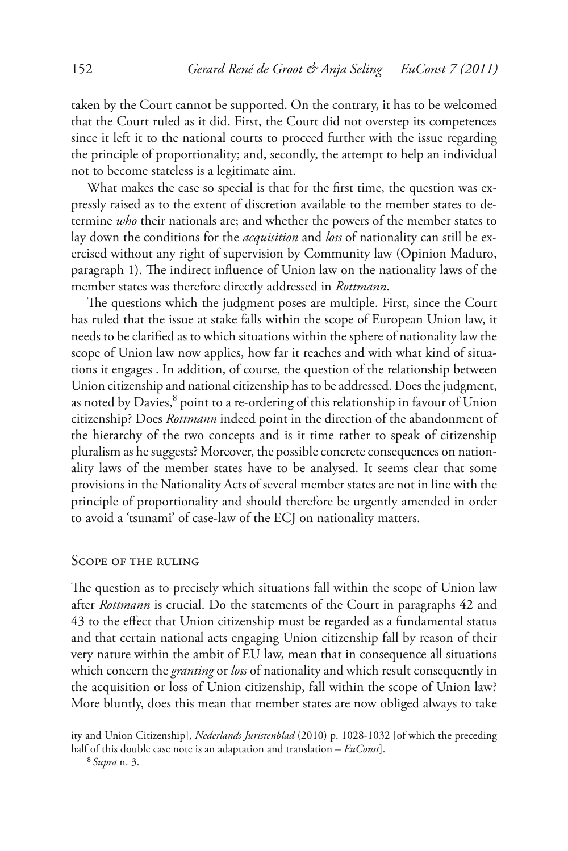taken by the Court cannot be supported. On the contrary, it has to be welcomed that the Court ruled as it did. First, the Court did not overstep its competences since it left it to the national courts to proceed further with the issue regarding the principle of proportionality; and, secondly, the attempt to help an individual not to become stateless is a legitimate aim.

What makes the case so special is that for the first time, the question was expressly raised as to the extent of discretion available to the member states to determine *who* their nationals are; and whether the powers of the member states to lay down the conditions for the *acquisition* and *loss* of nationality can still be exercised without any right of supervision by Community law (Opinion Maduro, paragraph 1). The indirect influence of Union law on the nationality laws of the member states was therefore directly addressed in *Rottmann*.

The questions which the judgment poses are multiple. First, since the Court has ruled that the issue at stake falls within the scope of European Union law, it needs to be clarified as to which situations within the sphere of nationality law the scope of Union law now applies, how far it reaches and with what kind of situations it engages . In addition, of course, the question of the relationship between Union citizenship and national citizenship has to be addressed. Does the judgment, as noted by Davies, $^8$  point to a re-ordering of this relationship in favour of Union citizenship? Does *Rottmann* indeed point in the direction of the abandonment of the hierarchy of the two concepts and is it time rather to speak of citizenship pluralism as he suggests? Moreover, the possible concrete consequences on nationality laws of the member states have to be analysed. It seems clear that some provisions in the Nationality Acts of several member states are not in line with the principle of proportionality and should therefore be urgently amended in order to avoid a 'tsunami' of case-law of the ECJ on nationality matters.

#### Scope of the ruling

The question as to precisely which situations fall within the scope of Union law after *Rottmann* is crucial. Do the statements of the Court in paragraphs 42 and 43 to the effect that Union citizenship must be regarded as a fundamental status and that certain national acts engaging Union citizenship fall by reason of their very nature within the ambit of EU law, mean that in consequence all situations which concern the *granting* or *loss* of nationality and which result consequently in the acquisition or loss of Union citizenship, fall within the scope of Union law? More bluntly, does this mean that member states are now obliged always to take

ity and Union Citizenship], *Nederlands Juristenblad* (2010) p. 1028-1032 [of which the preceding half of this double case note is an adaptation and translation – *EuConst*].

8 *Supra* n. 3.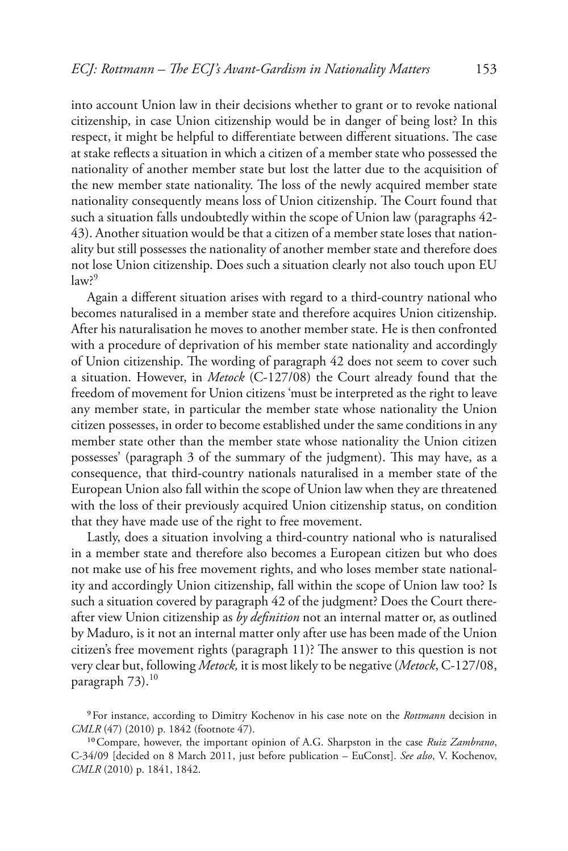into account Union law in their decisions whether to grant or to revoke national citizenship, in case Union citizenship would be in danger of being lost? In this respect, it might be helpful to differentiate between different situations. The case at stake reflects a situation in which a citizen of a member state who possessed the nationality of another member state but lost the latter due to the acquisition of the new member state nationality. The loss of the newly acquired member state nationality consequently means loss of Union citizenship. The Court found that such a situation falls undoubtedly within the scope of Union law (paragraphs 42- 43). Another situation would be that a citizen of a member state loses that nationality but still possesses the nationality of another member state and therefore does not lose Union citizenship. Does such a situation clearly not also touch upon EU  $law<sup>9</sup>$ 

Again a different situation arises with regard to a third-country national who becomes naturalised in a member state and therefore acquires Union citizenship. After his naturalisation he moves to another member state. He is then confronted with a procedure of deprivation of his member state nationality and accordingly of Union citizenship. The wording of paragraph 42 does not seem to cover such a situation. However, in *Metock* (C-127/08) the Court already found that the freedom of movement for Union citizens 'must be interpreted as the right to leave any member state, in particular the member state whose nationality the Union citizen possesses, in order to become established under the same conditions in any member state other than the member state whose nationality the Union citizen possesses' (paragraph 3 of the summary of the judgment). This may have, as a consequence, that third-country nationals naturalised in a member state of the European Union also fall within the scope of Union law when they are threatened with the loss of their previously acquired Union citizenship status, on condition that they have made use of the right to free movement.

Lastly, does a situation involving a third-country national who is naturalised in a member state and therefore also becomes a European citizen but who does not make use of his free movement rights, and who loses member state nationality and accordingly Union citizenship, fall within the scope of Union law too? Is such a situation covered by paragraph 42 of the judgment? Does the Court thereafter view Union citizenship as *by definition* not an internal matter or, as outlined by Maduro, is it not an internal matter only after use has been made of the Union citizen's free movement rights (paragraph 11)? The answer to this question is not very clear but, following *Metock,* it is most likely to be negative (*Metock*, C-127/08, paragraph  $73$ ).<sup>10</sup>

<sup>9</sup> For instance, according to Dimitry Kochenov in his case note on the *Rottmann* decision in *CMLR* (47) (2010) p. 1842 (footnote 47).

<sup>&</sup>lt;sup>10</sup> Compare, however, the important opinion of A.G. Sharpston in the case *Ruiz Zambrano*, C-34/09 [decided on 8 March 2011, just before publication – EuConst]. *See also*, V. Kochenov, *CMLR* (2010) p. 1841, 1842.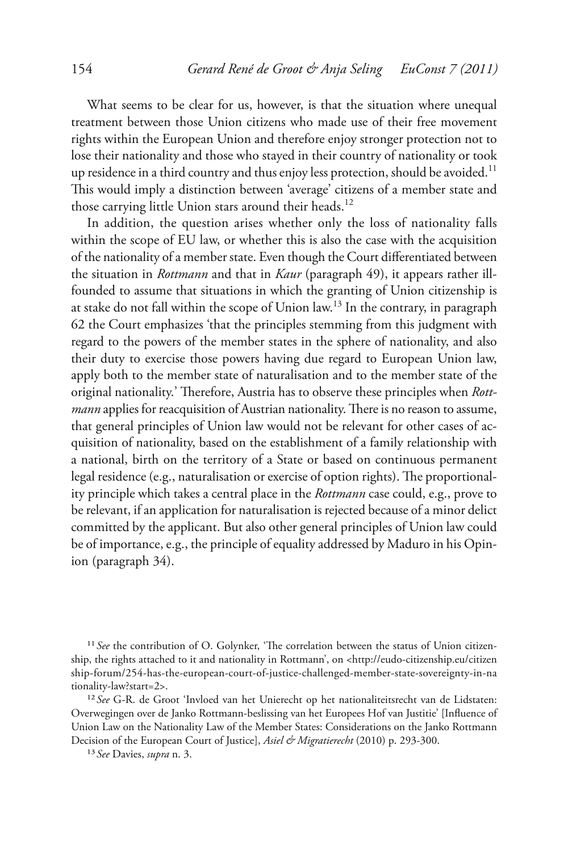What seems to be clear for us, however, is that the situation where unequal treatment between those Union citizens who made use of their free movement rights within the European Union and therefore enjoy stronger protection not to lose their nationality and those who stayed in their country of nationality or took up residence in a third country and thus enjoy less protection, should be avoided.<sup>11</sup> This would imply a distinction between 'average' citizens of a member state and those carrying little Union stars around their heads.<sup>12</sup>

In addition, the question arises whether only the loss of nationality falls within the scope of EU law, or whether this is also the case with the acquisition of the nationality of a member state. Even though the Court differentiated between the situation in *Rottmann* and that in *Kaur* (paragraph 49), it appears rather illfounded to assume that situations in which the granting of Union citizenship is at stake do not fall within the scope of Union  $law<sup>13</sup>$  In the contrary, in paragraph 62 the Court emphasizes 'that the principles stemming from this judgment with regard to the powers of the member states in the sphere of nationality, and also their duty to exercise those powers having due regard to European Union law, apply both to the member state of naturalisation and to the member state of the original nationality.' Therefore, Austria has to observe these principles when *Rottmann* applies for reacquisition of Austrian nationality. There is no reason to assume, that general principles of Union law would not be relevant for other cases of acquisition of nationality, based on the establishment of a family relationship with a national, birth on the territory of a State or based on continuous permanent legal residence (e.g., naturalisation or exercise of option rights). The proportionality principle which takes a central place in the *Rottmann* case could, e.g., prove to be relevant, if an application for naturalisation is rejected because of a minor delict committed by the applicant. But also other general principles of Union law could be of importance, e.g., the principle of equality addressed by Maduro in his Opinion (paragraph 34).

<sup>11</sup> See the contribution of O. Golynker, 'The correlation between the status of Union citizenship, the rights attached to it and nationality in Rottmann', on <http://eudo-citizenship.eu/citizen ship-forum/254-has-the-european-court-of-justice-challenged-member-state-sovereignty-in-na tionality-law?start=2>.

<sup>12</sup> See G-R. de Groot 'Invloed van het Unierecht op het nationaliteitsrecht van de Lidstaten: Overwegingen over de Janko Rottmann-beslissing van het Europees Hof van Justitie' [Influence of Union Law on the Nationality Law of the Member States: Considerations on the Janko Rottmann Decision of the European Court of Justice], *Asiel & Migratierecht* (2010) p. 293-300.

<sup>13</sup> See Davies, *supra* n. 3.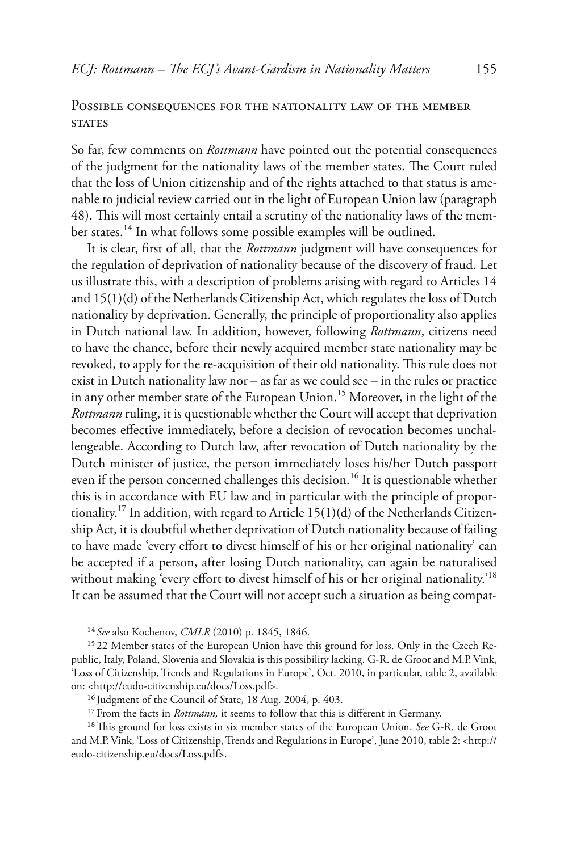### Possible consequences for the nationality law of the member **STATES**

So far, few comments on *Rottmann* have pointed out the potential consequences of the judgment for the nationality laws of the member states. The Court ruled that the loss of Union citizenship and of the rights attached to that status is amenable to judicial review carried out in the light of European Union law (paragraph 48). This will most certainly entail a scrutiny of the nationality laws of the member states.<sup>14</sup> In what follows some possible examples will be outlined.

It is clear, first of all, that the *Rottmann* judgment will have consequences for the regulation of deprivation of nationality because of the discovery of fraud. Let us illustrate this, with a description of problems arising with regard to Articles 14 and 15(1)(d) of the Netherlands Citizenship Act, which regulates the loss of Dutch nationality by deprivation. Generally, the principle of proportionality also applies in Dutch national law. In addition, however, following *Rottmann*, citizens need to have the chance, before their newly acquired member state nationality may be revoked, to apply for the re-acquisition of their old nationality. This rule does not exist in Dutch nationality law nor – as far as we could see – in the rules or practice in any other member state of the European Union.<sup>15</sup> Moreover, in the light of the *Rottmann* ruling, it is questionable whether the Court will accept that deprivation becomes effective immediately, before a decision of revocation becomes unchallengeable. According to Dutch law, after revocation of Dutch nationality by the Dutch minister of justice, the person immediately loses his/her Dutch passport even if the person concerned challenges this decision.<sup>16</sup> It is questionable whether this is in accordance with EU law and in particular with the principle of proportionality.<sup>17</sup> In addition, with regard to Article 15(1)(d) of the Netherlands Citizenship Act, it is doubtful whether deprivation of Dutch nationality because of failing to have made 'every effort to divest himself of his or her original nationality' can be accepted if a person, after losing Dutch nationality, can again be naturalised without making 'every effort to divest himself of his or her original nationality.'<sup>18</sup> It can be assumed that the Court will not accept such a situation as being compat-

¹4 *See* also Kochenov, *CMLR* (2010) p. 1845, 1846.

<sup>15</sup> 22 Member states of the European Union have this ground for loss. Only in the Czech Republic, Italy, Poland, Slovenia and Slovakia is this possibility lacking. G-R. de Groot and M.P. Vink, 'Loss of Citizenship, Trends and Regulations in Europe', Oct. 2010, in particular, table 2, available on: <http://eudo-citizenship.eu/docs/Loss.pdf>.

<sup>16</sup> Judgment of the Council of State, 18 Aug. 2004, p. 403.

<sup>17</sup> From the facts in *Rottmann*, it seems to follow that this is different in Germany.

<sup>18</sup> This ground for loss exists in six member states of the European Union. *See* G-R. de Groot and M.P. Vink, 'Loss of Citizenship, Trends and Regulations in Europe', June 2010, table 2: <http:// eudo-citizenship.eu/docs/Loss.pdf>.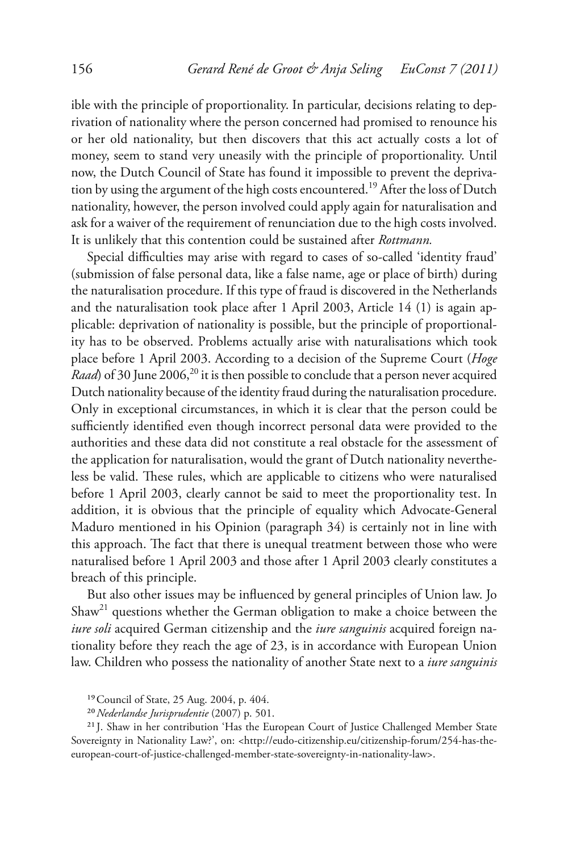ible with the principle of proportionality. In particular, decisions relating to deprivation of nationality where the person concerned had promised to renounce his or her old nationality, but then discovers that this act actually costs a lot of money, seem to stand very uneasily with the principle of proportionality. Until now, the Dutch Council of State has found it impossible to prevent the deprivation by using the argument of the high costs encountered.<sup>19</sup> After the loss of Dutch nationality, however, the person involved could apply again for naturalisation and ask for a waiver of the requirement of renunciation due to the high costs involved. It is unlikely that this contention could be sustained after *Rottmann.*

Special difficulties may arise with regard to cases of so-called 'identity fraud' (submission of false personal data, like a false name, age or place of birth) during the naturalisation procedure. If this type of fraud is discovered in the Netherlands and the naturalisation took place after 1 April 2003, Article 14 (1) is again applicable: deprivation of nationality is possible, but the principle of proportionality has to be observed. Problems actually arise with naturalisations which took place before 1 April 2003. According to a decision of the Supreme Court (*Hoge Raad*) of 30 June 2006,<sup>20</sup> it is then possible to conclude that a person never acquired Dutch nationality because of the identity fraud during the naturalisation procedure. Only in exceptional circumstances, in which it is clear that the person could be sufficiently identified even though incorrect personal data were provided to the authorities and these data did not constitute a real obstacle for the assessment of the application for naturalisation, would the grant of Dutch nationality nevertheless be valid. These rules, which are applicable to citizens who were naturalised before 1 April 2003, clearly cannot be said to meet the proportionality test. In addition, it is obvious that the principle of equality which Advocate-General Maduro mentioned in his Opinion (paragraph 34) is certainly not in line with this approach. The fact that there is unequal treatment between those who were naturalised before 1 April 2003 and those after 1 April 2003 clearly constitutes a breach of this principle.

But also other issues may be influenced by general principles of Union law. Jo Shaw21 questions whether the German obligation to make a choice between the *iure soli* acquired German citizenship and the *iure sanguinis* acquired foreign nationality before they reach the age of 23, is in accordance with European Union law. Children who possess the nationality of another State next to a *iure sanguinis*

<sup>&</sup>lt;sup>19</sup> Council of State, 25 Aug. 2004, p. 404.

<sup>&</sup>lt;sup>20</sup> Nederlandse Jurisprudentie (2007) p. 501.

<sup>&</sup>lt;sup>21</sup> J. Shaw in her contribution 'Has the European Court of Justice Challenged Member State Sovereignty in Nationality Law?', on: <http://eudo-citizenship.eu/citizenship-forum/254-has-theeuropean-court-of-justice-challenged-member-state-sovereignty-in-nationality-law>.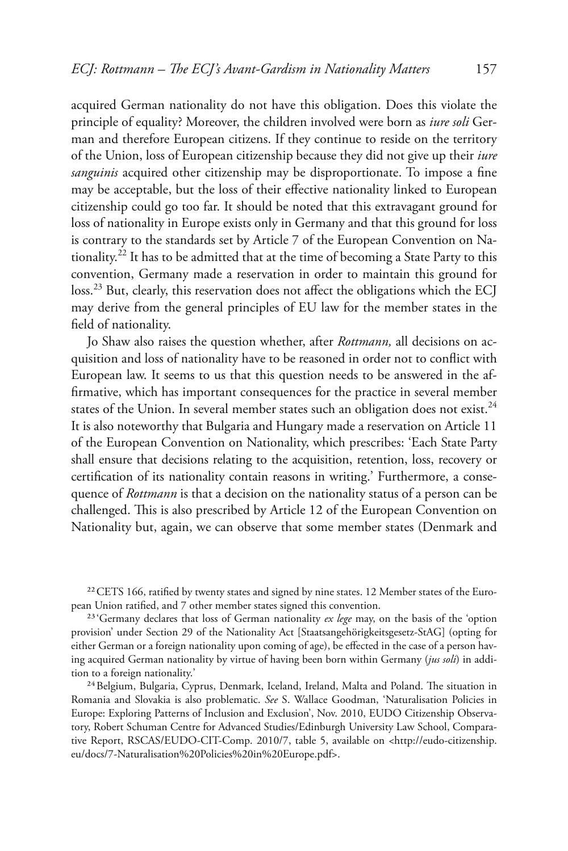acquired German nationality do not have this obligation. Does this violate the principle of equality? Moreover, the children involved were born as *iure soli* German and therefore European citizens. If they continue to reside on the territory of the Union, loss of European citizenship because they did not give up their *iure sanguinis* acquired other citizenship may be disproportionate. To impose a fine may be acceptable, but the loss of their effective nationality linked to European citizenship could go too far. It should be noted that this extravagant ground for loss of nationality in Europe exists only in Germany and that this ground for loss is contrary to the standards set by Article 7 of the European Convention on Nationality.22 It has to be admitted that at the time of becoming a State Party to this convention, Germany made a reservation in order to maintain this ground for  $\text{loss}^{23}$  But, clearly, this reservation does not affect the obligations which the ECJ may derive from the general principles of EU law for the member states in the field of nationality.

Jo Shaw also raises the question whether, after *Rottmann,* all decisions on acquisition and loss of nationality have to be reasoned in order not to conflict with European law. It seems to us that this question needs to be answered in the affirmative, which has important consequences for the practice in several member states of the Union. In several member states such an obligation does not exist.<sup>24</sup> It is also noteworthy that Bulgaria and Hungary made a reservation on Article 11 of the European Convention on Nationality, which prescribes: 'Each State Party shall ensure that decisions relating to the acquisition, retention, loss, recovery or certification of its nationality contain reasons in writing.' Furthermore, a consequence of *Rottmann* is that a decision on the nationality status of a person can be challenged. This is also prescribed by Article 12 of the European Convention on Nationality but, again, we can observe that some member states (Denmark and

<sup>22</sup> CETS 166, ratified by twenty states and signed by nine states. 12 Member states of the European Union ratified, and 7 other member states signed this convention.

<sup>23</sup> 'Germany declares that loss of German nationality *ex lege* may, on the basis of the 'option provision' under Section 29 of the Nationality Act [Staatsangehörigkeitsgesetz-StAG] (opting for either German or a foreign nationality upon coming of age), be effected in the case of a person having acquired German nationality by virtue of having been born within Germany (*jus soli*) in addition to a foreign nationality.'

<sup>24</sup> Belgium, Bulgaria, Cyprus, Denmark, Iceland, Ireland, Malta and Poland. The situation in Romania and Slovakia is also problematic. *See* S. Wallace Goodman, 'Naturalisation Policies in Europe: Exploring Patterns of Inclusion and Exclusion', Nov. 2010, EUDO Citizenship Observatory, Robert Schuman Centre for Advanced Studies/Edinburgh University Law School, Comparative Report, RSCAS/EUDO-CIT-Comp. 2010/7, table 5, available on <http://eudo-citizenship. eu/docs/7-Naturalisation%20Policies%20in%20Europe.pdf>.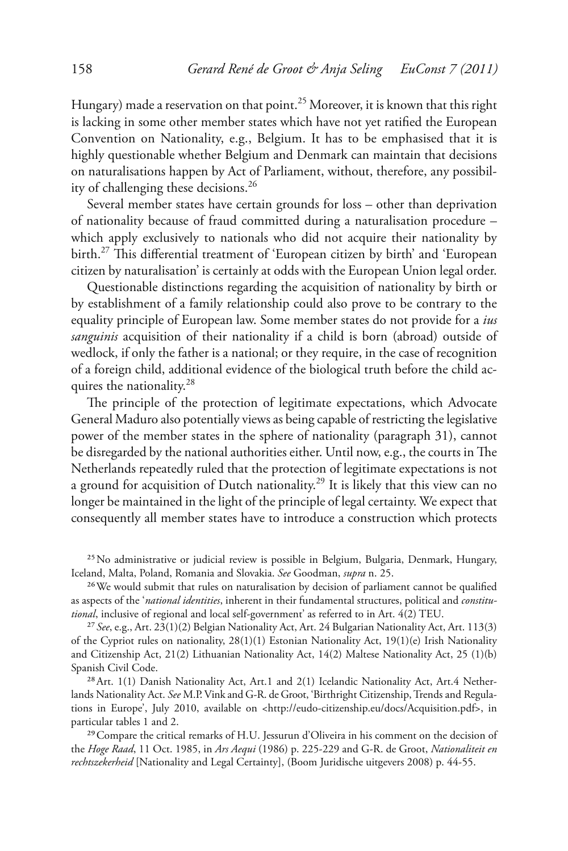Hungary) made a reservation on that point.<sup>25</sup> Moreover, it is known that this right is lacking in some other member states which have not yet ratified the European Convention on Nationality, e.g., Belgium. It has to be emphasised that it is highly questionable whether Belgium and Denmark can maintain that decisions on naturalisations happen by Act of Parliament, without, therefore, any possibility of challenging these decisions.26

Several member states have certain grounds for loss – other than deprivation of nationality because of fraud committed during a naturalisation procedure – which apply exclusively to nationals who did not acquire their nationality by birth.<sup>27</sup> This differential treatment of 'European citizen by birth' and 'European citizen by naturalisation' is certainly at odds with the European Union legal order.

Questionable distinctions regarding the acquisition of nationality by birth or by establishment of a family relationship could also prove to be contrary to the equality principle of European law. Some member states do not provide for a *ius sanguinis* acquisition of their nationality if a child is born (abroad) outside of wedlock, if only the father is a national; or they require, in the case of recognition of a foreign child, additional evidence of the biological truth before the child acquires the nationality.28

The principle of the protection of legitimate expectations, which Advocate General Maduro also potentially views as being capable of restricting the legislative power of the member states in the sphere of nationality (paragraph 31), cannot be disregarded by the national authorities either. Until now, e.g., the courts in The Netherlands repeatedly ruled that the protection of legitimate expectations is not a ground for acquisition of Dutch nationality.<sup>29</sup> It is likely that this view can no longer be maintained in the light of the principle of legal certainty. We expect that consequently all member states have to introduce a construction which protects

²5 No administrative or judicial review is possible in Belgium, Bulgaria, Denmark, Hungary, Iceland, Malta, Poland, Romania and Slovakia. *See* Goodman, *supra* n. 25.

<sup>26</sup> We would submit that rules on naturalisation by decision of parliament cannot be qualified as aspects of the '*national identities*, inherent in their fundamental structures, political and *constitutional*, inclusive of regional and local self-government' as referred to in Art. 4(2) TEU.

²7 *See*, e.g., Art. 23(1)(2) Belgian Nationality Act, Art. 24 Bulgarian Nationality Act, Art. 113(3) of the Cypriot rules on nationality, 28(1)(1) Estonian Nationality Act, 19(1)(e) Irish Nationality and Citizenship Act, 21(2) Lithuanian Nationality Act, 14(2) Maltese Nationality Act, 25 (1)(b) Spanish Civil Code.

<sup>28</sup> Art. 1(1) Danish Nationality Act, Art.1 and 2(1) Icelandic Nationality Act, Art.4 Netherlands Nationality Act. *See* M.P. Vink and G-R. de Groot, 'Birthright Citizenship, Trends and Regulations in Europe', July 2010, available on <http://eudo-citizenship.eu/docs/Acquisition.pdf>, in particular tables 1 and 2.

 $29$  Compare the critical remarks of H.U. Jessurun d'Oliveira in his comment on the decision of the *Hoge Raad*, 11 Oct. 1985, in *Ars Aequi* (1986) p. 225-229 and G-R. de Groot, *Nationaliteit en rechtszekerheid* [Nationality and Legal Certainty], (Boom Juridische uitgevers 2008) p. 44-55.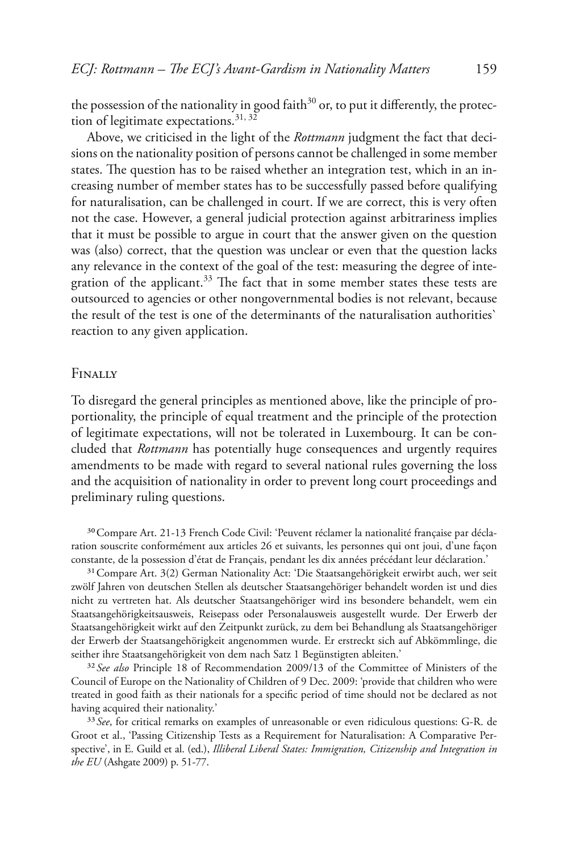the possession of the nationality in good faith $30$  or, to put it differently, the protection of legitimate expectations.<sup>31, 32</sup>

Above, we criticised in the light of the *Rottmann* judgment the fact that decisions on the nationality position of persons cannot be challenged in some member states. The question has to be raised whether an integration test, which in an increasing number of member states has to be successfully passed before qualifying for naturalisation, can be challenged in court. If we are correct, this is very often not the case. However, a general judicial protection against arbitrariness implies that it must be possible to argue in court that the answer given on the question was (also) correct, that the question was unclear or even that the question lacks any relevance in the context of the goal of the test: measuring the degree of integration of the applicant.<sup>33</sup> The fact that in some member states these tests are outsourced to agencies or other nongovernmental bodies is not relevant, because the result of the test is one of the determinants of the naturalisation authorities` reaction to any given application.

#### Finally

To disregard the general principles as mentioned above, like the principle of proportionality, the principle of equal treatment and the principle of the protection of legitimate expectations, will not be tolerated in Luxembourg. It can be concluded that *Rottmann* has potentially huge consequences and urgently requires amendments to be made with regard to several national rules governing the loss and the acquisition of nationality in order to prevent long court proceedings and preliminary ruling questions.

<sup>30</sup> Compare Art. 21-13 French Code Civil: 'Peuvent réclamer la nationalité française par déclaration souscrite conformément aux articles 26 et suivants, les personnes qui ont joui, d'une façon constante, de la possession d'état de Français, pendant les dix années précédant leur déclaration.'

<sup>31</sup> Compare Art. 3(2) German Nationality Act: 'Die Staatsangehörigkeit erwirbt auch, wer seit zwölf Jahren von deutschen Stellen als deutscher Staatsangehöriger behandelt worden ist und dies nicht zu vertreten hat. Als deutscher Staatsangehöriger wird ins besondere behandelt, wem ein Staatsangehörigkeitsausweis, Reisepass oder Personalausweis ausgestellt wurde. Der Erwerb der Staatsangehörigkeit wirkt auf den Zeitpunkt zurück, zu dem bei Behandlung als Staatsangehöriger der Erwerb der Staatsangehörigkeit angenommen wurde. Er erstreckt sich auf Abkömmlinge, die seither ihre Staatsangehörigkeit von dem nach Satz 1 Begünstigten ableiten.'

³² *See also* Principle 18 of Recommendation 2009/13 of the Committee of Ministers of the Council of Europe on the Nationality of Children of 9 Dec. 2009: 'provide that children who were treated in good faith as their nationals for a specific period of time should not be declared as not having acquired their nationality.'

³³ *See*, for critical remarks on examples of unreasonable or even ridiculous questions: G-R. de Groot et al., 'Passing Citizenship Tests as a Requirement for Naturalisation: A Comparative Perspective', in E. Guild et al. (ed.), *Illiberal Liberal States: Immigration, Citizenship and Integration in the EU* (Ashgate 2009) p. 51-77.